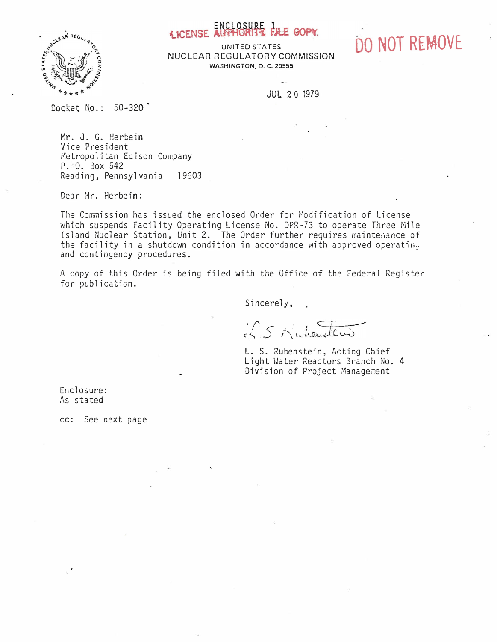

ENCLOSURE PALE GOPY.<br>UNITED STATES DO NOT REMOVE NUCLEAR REGULATORY COMMISSION WASHINGTON, D. C. 20555

JUL 2 0 1979

Docket No.: 50-320

Mr. J. G. Herbein Vice President Metropolitan Edison Company P. 0. Box 542 Reading, Pennsylvania 19603

Dear Mr. Herbein:

The Commission has issued the enclosed Order for Modification of License which suspends Facility Operating License No. DPR-73 to operate Three Mile Island Nuclear Station, Unit 2. The Order further requires maintemance of the facility in a shutdown condition in accordance with approved operatin $_\psi$ and contingency procedures.

A copy of this Order is being filed with the Office of the Federal Register for publication.

Sincerely,

IS Muheustens

L. S. Rubenstein, Acting Chief Light Water Reactors Branch No. 4 Division of Project Management

Enclosure: As stated

cc: See next page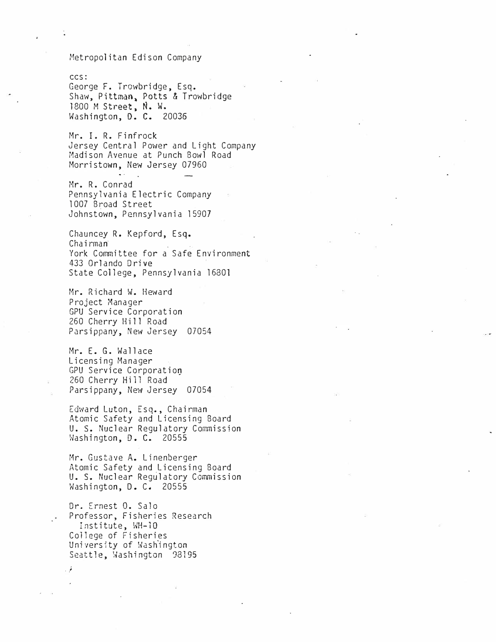## Metropolitan Edison Company

#### ccs:

George F. Trowbridge, Esq. Shaw, Pittman, Potts & Trowbridge 1800 M Street, N. W. Washington, D. C. 20036

Mr. I. R. Finfrock Jersey Central Power and Light Company Madison Avenue at Punch Bowl Road Morristown, New Jersey 07960

Mr. R. Conrad Pennsylvania Electric Company 1007 Broad Street Johnstown, Pennsylvania 15907

Chauncey R. Kepford, Esq. Chairman . York Committee for a Safe Environment 433 Orlando Drive State College, Pennsylvania 16801

Mr. Richard W. Heward Project Manager GPU Service Corporation 260 Cherry Hill Road Parsippany, New Jersey 07054

Mr. E. G. Wallace Licensing Manager GPU Service Corporation 260 Cherry Hill Road Parsippany, New Jersey 07054

Edward Luton, Esq., Chairman Atomic Safety and Licensing Board U. S. Nuclear Regulatory Commission Washington, D. C. 20555

Mr. Gustave A. Linenberger Atomic Safety and Licensing Board U. s. Nuclear Regulatory Commission Washington, D. C. 20555

Or. Ernest 0. Sa1o Professor, Fisheries Research Institute, WH-10 College of Fisheri�s University of Washington Seattle, Washington 98195

.\_;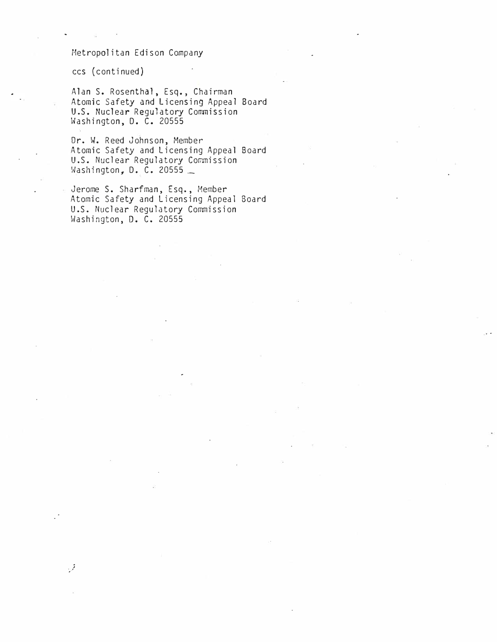# Metropolitan Edison Company

ccs ( continued )

 $\mathcal{J}$ 

Alan S. Rosenthal, Esq., Chairman Atomic Safety and Licensing Appeal Board U.S. Nuclear Regulatory Commission Washington, D. C. 20555

Dr. W. Reed Johnson, Member Atomic Safety and Licensing Appeal Board U.S. Nuclear Regulatory Commission Washington, D. C. 20555 \_

Jerome S. Sharfman, Esq., Member Atomic Safety and Licensing Appeal Board U.S. Nuclear Regulatory Commission Washington, D. C. 20555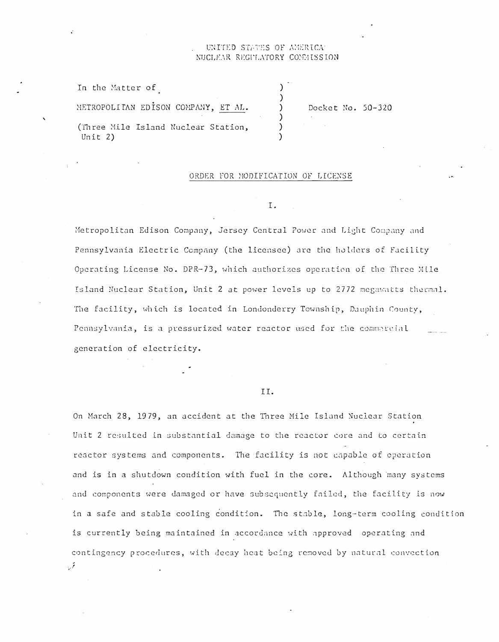## TED STATES OF AMERICAT NUCLEAR REGULATORY COMMISSION

| In the Matter of                               |                   |
|------------------------------------------------|-------------------|
| METROPOLITAN EDISON COMPANY, ET AL.            | Docket No. 50-320 |
| (Three Mile Island Nuclear Station,<br>Unit 2) |                   |

### ORDER FOR MODIFICATION OF LICENSE

I.

Metropolitan Edison Company, Jersey Central Power and Light Company and Pennsylvania Electric Company (the licensee) are the holders of Facility Operating License No. DPR-73, which authorizes operation of the Three Mile Island Nuclear Station, Unit 2 at power levels up to 2772 megawatts thermal. The facility, which is located in Londonderry Township, Dauphin County, Pennsylvania, is a pressurized water reactor used for the commercial generation of electricity.

## TT.

On March 28, 1979, an accident at the Three Mile Island Nuclear Station Unit 2 resulted in substantial damage to the reactor core and to certain reactor systems and components. The facility is not capable of operation and is in a shutdown condition with fuel in the core. Although many systems and components were damaged or have subsequently failed, the facility is now in a safe and stable cooling condition. The stable, long-term cooling condition is currently being maintained in accordance with approved operating and contingency procedures, with decay heat being removed by natural convection  $\cdot$ ,  $\cdot$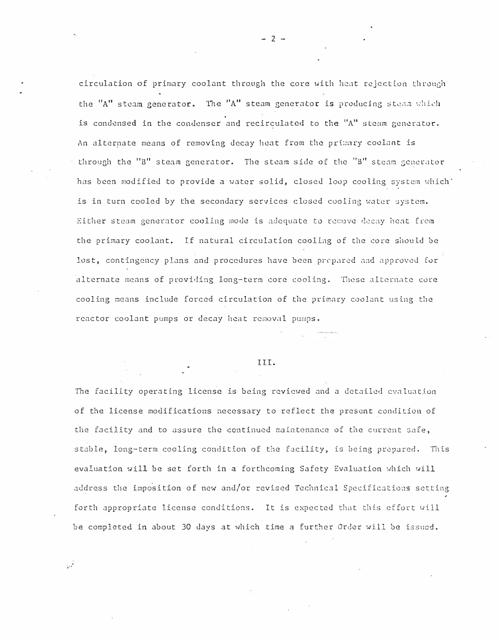circulation of primary coolant through the core with heat rejection through the "A" steam generator. The "A" steam generator is producing steam which is condensed in the condenser and recirculated to the "A" steam generator. An alternate means of removing decay heat from the primary coolant is through the "B" steam generator. The steam side of the "B" steam generator has been modified to provide a water solid, closed loop cooling system which is in turn cooled by the secondary services closed cooling water system. Either steam generator cooling mode is adequate to remove decay heat from the primary coolant. If natural circulation cooling of the core should be lost, contingency plans and procedures have been prepared and approved for alternate means of providing long-term core cooling. These alternate core cooling means include forced circulation of the primary coolant using the reactor coolant pumps or decay heat removal pumps.

## III.

The facility operating license is being reviewed and a detailed evaluation of the license modifications necessary to reflect the present condition of the facility and to assure the continued maintenance of the current safe, stable, long-term cooling condition of the facility, is being prepared. This evaluation will be set forth in a forthcoming Safety Evaluation which will address the imposition of new and/or revised Technical Specifications setting forth appropriate license conditions. It is expected that this effort will be completed in about 30 days at which time a further Order will be issued.

٠.,

 $-2 -$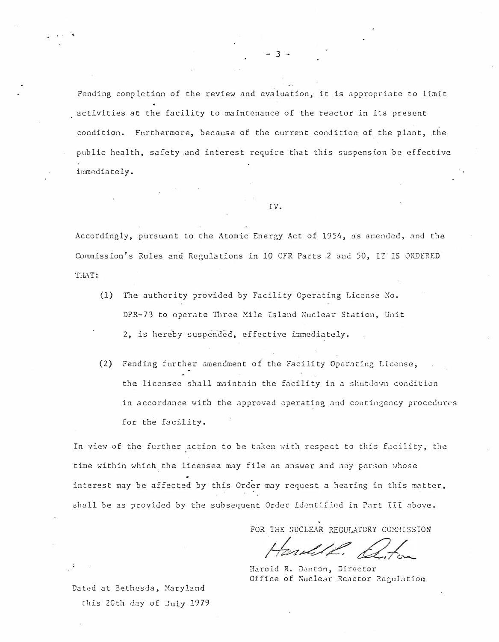Pending completion of the review and evaluation, it is appropriate to limit activities at the facility to maintenance of the reactor in its present condition. Furthermore, because of the current condition of the plant, the public health, safety and interest require that this suspension be effective irmediately.

#### IV.

Accordingly, pursuant to the Atomic Energy Act of 1954, as amended, and the Commission's Rules and Regulations in 10 CFR Parts 2 and 50, IT IS ORDERED THAT:

- (1) The authority provided by Facility Operating License No. DPR-73 to operate Three Mile Island Nuclear Station, Unit 2, is hereby suspended, effective immediately.
- (2) Pending further amendment of the Facility Operating License, the licensee shall maintain the facility in a shutdown condition in accordance with the approved operating and contingency procedures for the facility.

In view of the further action to be taken with respect to this facility, the time within which the licensee may file an answer and any person whose interest may be affected by this Order may request a hearing in this matter, shall be as provided by the subsequent Order identified in Part III above.

FOR THE NUCLEAR REGULATORY COMMISSION

and 12. El

Harold R. Denton, Director Office of Nuclear Reactor Regulation

Dated at Bethesda, Maryland this 20th day of July 1979